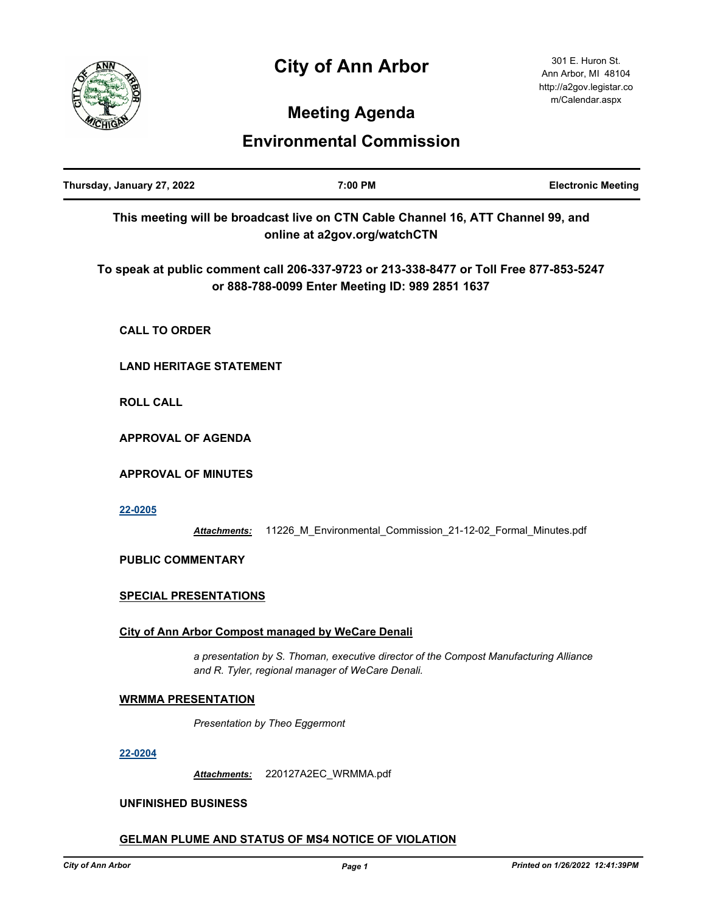## **City of Ann Arbor**



301 E. Huron St. Ann Arbor, MI 48104 http://a2gov.legistar.co m/Calendar.aspx

# **Meeting Agenda**

### **Environmental Commission**

| Thursday, January 27, 2022     |                     | 7:00 PM                                                                                                                                   | <b>Electronic Meeting</b> |
|--------------------------------|---------------------|-------------------------------------------------------------------------------------------------------------------------------------------|---------------------------|
|                                |                     | This meeting will be broadcast live on CTN Cable Channel 16, ATT Channel 99, and<br>online at a2gov.org/watchCTN                          |                           |
|                                |                     | To speak at public comment call 206-337-9723 or 213-338-8477 or Toll Free 877-853-5247<br>or 888-788-0099 Enter Meeting ID: 989 2851 1637 |                           |
| <b>CALL TO ORDER</b>           |                     |                                                                                                                                           |                           |
| <b>LAND HERITAGE STATEMENT</b> |                     |                                                                                                                                           |                           |
| <b>ROLL CALL</b>               |                     |                                                                                                                                           |                           |
| <b>APPROVAL OF AGENDA</b>      |                     |                                                                                                                                           |                           |
| <b>APPROVAL OF MINUTES</b>     |                     |                                                                                                                                           |                           |
| 22-0205                        | Attachments:        | 11226_M_Environmental_Commission_21-12-02_Formal_Minutes.pdf                                                                              |                           |
| <b>PUBLIC COMMENTARY</b>       |                     |                                                                                                                                           |                           |
| <b>SPECIAL PRESENTATIONS</b>   |                     |                                                                                                                                           |                           |
|                                |                     | City of Ann Arbor Compost managed by WeCare Denali                                                                                        |                           |
|                                |                     | a presentation by S. Thoman, executive director of the Compost Manufacturing Alliance<br>and R. Tyler, regional manager of WeCare Denali. |                           |
| <b>WRMMA PRESENTATION</b>      |                     |                                                                                                                                           |                           |
|                                |                     | Presentation by Theo Eggermont                                                                                                            |                           |
| 22-0204                        |                     |                                                                                                                                           |                           |
|                                | <b>Attachments:</b> | 220127A2EC_WRMMA.pdf                                                                                                                      |                           |

#### **UNFINISHED BUSINESS**

### **GELMAN PLUME AND STATUS OF MS4 NOTICE OF VIOLATION**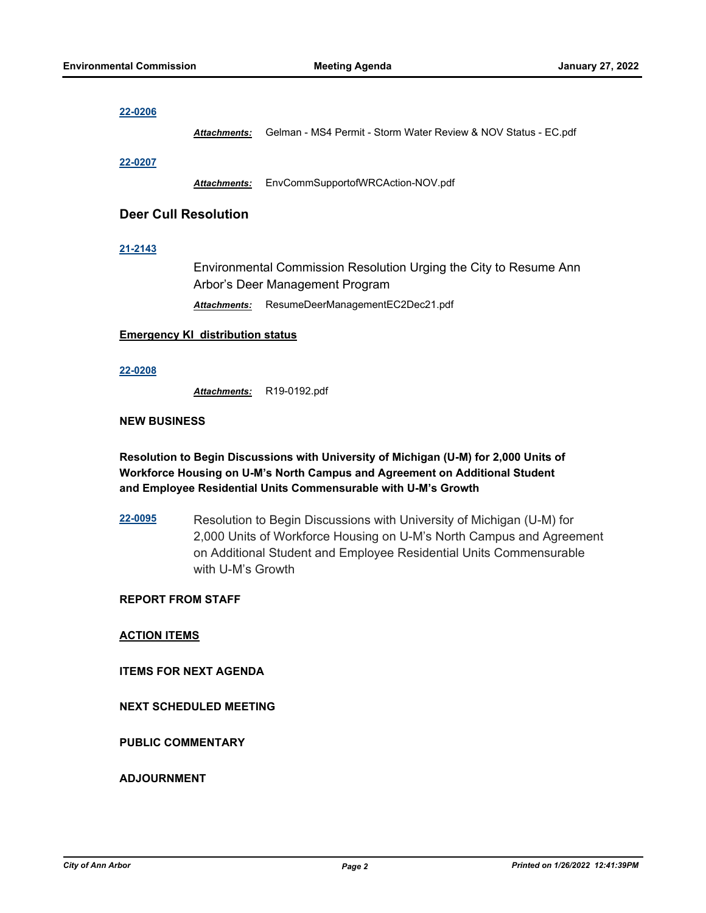#### **[22-0206](http://a2gov.legistar.com/gateway.aspx?M=L&ID=29393)**

*Attachments:* Gelman - MS4 Permit - Storm Water Review & NOV Status - EC.pdf

#### **[22-0207](http://a2gov.legistar.com/gateway.aspx?M=L&ID=29394)**

*Attachments:* EnvCommSupportofWRCAction-NOV.pdf

#### **Deer Cull Resolution**

#### **[21-2143](http://a2gov.legistar.com/gateway.aspx?M=L&ID=29062)**

Environmental Commission Resolution Urging the City to Resume Ann Arbor's Deer Management Program

*Attachments:* ResumeDeerManagementEC2Dec21.pdf

#### **Emergency KI distribution status**

#### **[22-0208](http://a2gov.legistar.com/gateway.aspx?M=L&ID=29395)**

*Attachments:* R19-0192.pdf

#### **NEW BUSINESS**

**Resolution to Begin Discussions with University of Michigan (U-M) for 2,000 Units of Workforce Housing on U-M's North Campus and Agreement on Additional Student and Employee Residential Units Commensurable with U-M's Growth**

**[22-0095](http://a2gov.legistar.com/gateway.aspx?M=L&ID=29286)** Resolution to Begin Discussions with University of Michigan (U-M) for 2,000 Units of Workforce Housing on U-M's North Campus and Agreement on Additional Student and Employee Residential Units Commensurable with U-M's Growth

#### **REPORT FROM STAFF**

**ACTION ITEMS**

**ITEMS FOR NEXT AGENDA**

#### **NEXT SCHEDULED MEETING**

#### **PUBLIC COMMENTARY**

#### **ADJOURNMENT**